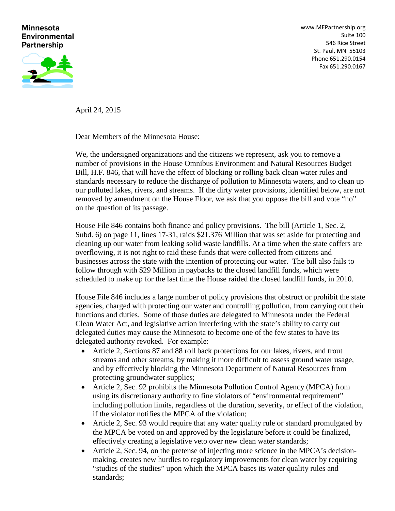## **Minnesota Environmental Partnership**



[www.MEPartnership.org](http://www.mepartnership.org/) Suite 100 546 Rice Street St. Paul, MN 55103 Phone 651.290.0154 Fax 651.290.0167

April 24, 2015

Dear Members of the Minnesota House:

We, the undersigned organizations and the citizens we represent, ask you to remove a number of provisions in the House Omnibus Environment and Natural Resources Budget Bill, H.F. 846, that will have the effect of blocking or rolling back clean water rules and standards necessary to reduce the discharge of pollution to Minnesota waters, and to clean up our polluted lakes, rivers, and streams. If the dirty water provisions, identified below, are not removed by amendment on the House Floor, we ask that you oppose the bill and vote "no" on the question of its passage.

House File 846 contains both finance and policy provisions. The bill (Article 1, Sec. 2, Subd. 6) on page 11, lines 17-31, raids \$21.376 Million that was set aside for protecting and cleaning up our water from leaking solid waste landfills. At a time when the state coffers are overflowing, it is not right to raid these funds that were collected from citizens and businesses across the state with the intention of protecting our water. The bill also fails to follow through with \$29 Million in paybacks to the closed landfill funds, which were scheduled to make up for the last time the House raided the closed landfill funds, in 2010.

House File 846 includes a large number of policy provisions that obstruct or prohibit the state agencies, charged with protecting our water and controlling pollution, from carrying out their functions and duties. Some of those duties are delegated to Minnesota under the Federal Clean Water Act, and legislative action interfering with the state's ability to carry out delegated duties may cause the Minnesota to become one of the few states to have its delegated authority revoked. For example:

- Article 2, Sections 87 and 88 roll back protections for our lakes, rivers, and trout streams and other streams, by making it more difficult to assess ground water usage, and by effectively blocking the Minnesota Department of Natural Resources from protecting groundwater supplies;
- Article 2, Sec. 92 prohibits the Minnesota Pollution Control Agency (MPCA) from using its discretionary authority to fine violators of "environmental requirement" including pollution limits, regardless of the duration, severity, or effect of the violation, if the violator notifies the MPCA of the violation;
- Article 2, Sec. 93 would require that any water quality rule or standard promulgated by the MPCA be voted on and approved by the legislature before it could be finalized, effectively creating a legislative veto over new clean water standards;
- Article 2, Sec. 94, on the pretense of injecting more science in the MPCA's decisionmaking, creates new hurdles to regulatory improvements for clean water by requiring "studies of the studies" upon which the MPCA bases its water quality rules and standards;